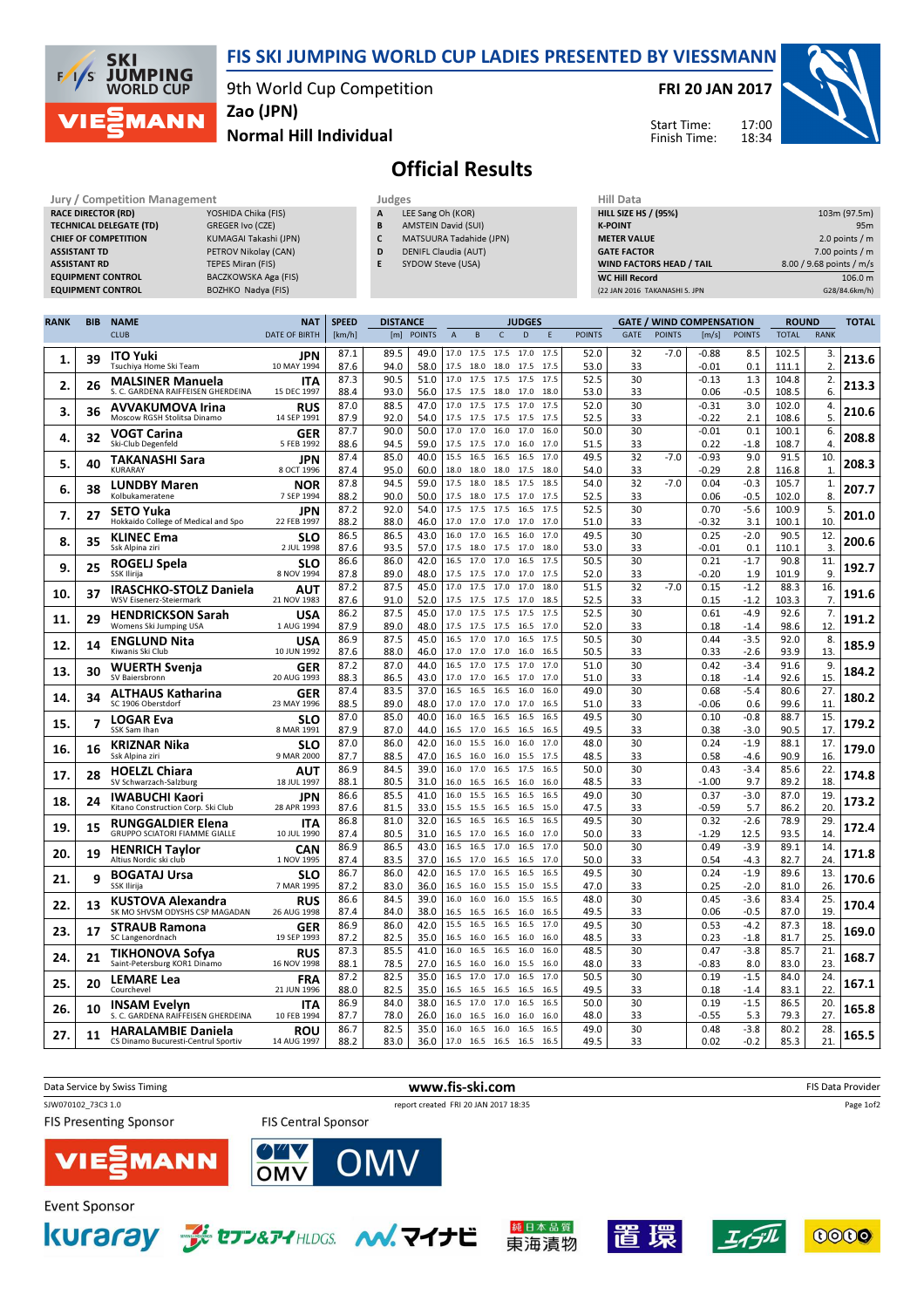

## FIS SKI JUMPING WORLD CUP LADIES PRESENTED BY VIESSMANN

9th World Cup Competition

FRI 20 JAN 2017

Start Time: Finish Time:



Normal Hill Individual Zao (JPN)

## Official Results

| Jury / Competition Management  |                       | Judges |                            | Hill Data                       |                          |  |  |
|--------------------------------|-----------------------|--------|----------------------------|---------------------------------|--------------------------|--|--|
| <b>RACE DIRECTOR (RD)</b>      | YOSHIDA Chika (FIS)   | A      | LEE Sang Oh (KOR)          | <b>HILL SIZE HS / (95%)</b>     | 103m (97.5m)             |  |  |
| <b>TECHNICAL DELEGATE (TD)</b> | GREGER Ivo (CZE)      | ь.     | <b>AMSTEIN David (SUI)</b> | <b>K-POINT</b>                  | 95 <sub>m</sub>          |  |  |
| <b>CHIEF OF COMPETITION</b>    | KUMAGAI Takashi (JPN) |        | MATSUURA Tadahide (JPN)    | <b>METER VALUE</b>              | 2.0 points $/m$          |  |  |
| <b>ASSISTANT TD</b>            | PETROV Nikolay (CAN)  | D      | DENIFL Claudia (AUT)       | <b>GATE FACTOR</b>              | $7.00$ points / m        |  |  |
| <b>ASSISTANT RD</b>            | TEPES Miran (FIS)     |        | SYDOW Steve (USA)          | <b>WIND FACTORS HEAD / TAIL</b> | 8.00 / 9.68 points / m/s |  |  |
| <b>EQUIPMENT CONTROL</b>       | BACZKOWSKA Aga (FIS)  |        |                            | <b>WC Hill Record</b>           | 106.0 m                  |  |  |
| <b>EQUIPMENT CONTROL</b>       | BOZHKO Nadya (FIS)    |        |                            | (22 JAN 2016 TAKANASHI S. JPN   | G28/84.6km/h)            |  |  |
|                                |                       |        |                            |                                 |                          |  |  |

| <b>RANK</b> | <b>BIB</b> | <b>NAME</b>                                                    | <b>NAT</b>                | <b>SPEED</b> | <b>DISTANCE</b> |               |                |                             |                     | <b>JUDGES</b>  |              |               |             |               | <b>GATE / WIND COMPENSATION</b> |                  | <b>ROUND</b>   |                         | <b>TOTAL</b> |
|-------------|------------|----------------------------------------------------------------|---------------------------|--------------|-----------------|---------------|----------------|-----------------------------|---------------------|----------------|--------------|---------------|-------------|---------------|---------------------------------|------------------|----------------|-------------------------|--------------|
|             |            | <b>CLUB</b>                                                    | <b>DATE OF BIRTH</b>      | [km/h]       | [m]             | <b>POINTS</b> | $\overline{A}$ | B                           | $\mathsf{C}$        | $\overline{D}$ | F            | <b>POINTS</b> | <b>GATE</b> | <b>POINTS</b> | [m/s]                           | <b>POINTS</b>    | <b>TOTAL</b>   | <b>RANK</b>             |              |
|             |            | <b>ITO Yuki</b>                                                | JPN                       | 87.1         | 89.5            | 49.0          |                | 17.0 17.5                   | 17.5                | 17.0           | 17.5         | 52.0          | 32          | $-7.0$        | $-0.88$                         | 8.5              | 102.5          | 3.                      |              |
| 1.          | 39         | Tsuchiya Home Ski Team                                         | 10 MAY 1994               | 87.6         | 94.0            | 58.0          | 17.5           | 18.0                        | 18.0                | 17.5           | 17.5         | 53.0          | 33          |               | $-0.01$                         | 0.1              | 111.1          | 2.                      | 213.6        |
| 2.          | 26         | <b>MALSINER Manuela</b><br>S. C. GARDENA RAIFFEISEN GHERDEINA  | <b>ITA</b><br>15 DEC 1997 | 87.3<br>88.4 | 90.5<br>93.0    | 51.0<br>56.0  | 17.0           | 17.5<br>17.5 17.5           | 17.5<br>18.0        | 17.5<br>17.0   | 17.5<br>18.0 | 52.5<br>53.0  | 30<br>33    |               | $-0.13$<br>0.06                 | 1.3<br>$-0.5$    | 104.8<br>108.5 | 2.<br>6.                | 213.3        |
|             |            | <b>AVVAKUMOVA Irina</b>                                        | <b>RUS</b>                | 87.0         | 88.5            | 47.0          | 17.0           | 17.5                        | 17.5                | 17.0           | 17.5         | 52.0          | 30          |               | $-0.31$                         | 3.0              | 102.0          | 4.                      |              |
| 3.          | 36         | Moscow RGSH Stolitsa Dinamo                                    | 14 SEP 1991               | 87.9         | 92.0            | 54.0          | 17.5           | 17.5                        | 17.5                | 17.5           | 17.5         | 52.5          | 33          |               | $-0.22$                         | 2.1              | 108.6          | 5.                      | 210.6        |
| 4.          | 32         | <b>VOGT Carina</b>                                             | <b>GER</b>                | 87.7         | 90.0            | 50.0          |                | 17.0 17.0 16.0              |                     | 17.0           | 16.0         | 50.0          | 30          |               | $-0.01$                         | 0.1              | 100.1          | 6.                      | 208.8        |
|             |            | Ski-Club Degenfeld                                             | 5 FEB 1992<br><b>JPN</b>  | 88.6<br>87.4 | 94.5<br>85.0    | 59.0<br>40.0  | 17.5           | 17.5<br>15.5 16.5 16.5      | 17.0                | 16.0<br>16.5   | 17.0<br>17.0 | 51.5<br>49.5  | 33<br>32    | $-7.0$        | 0.22<br>$-0.93$                 | $-1.8$<br>9.0    | 108.7<br>91.5  | $\overline{4}$ .<br>10. |              |
| 5.          | 40         | TAKANASHI Sara<br>KURARAY                                      | 8 OCT 1996                | 87.4         | 95.0            | 60.0          |                | 18.0 18.0 18.0              |                     | 17.5           | 18.0         | 54.0          | 33          |               | $-0.29$                         | 2.8              | 116.8          | $\mathbf{1}$            | 208.3        |
| 6.          | 38         | <b>LUNDBY Maren</b>                                            | NOR                       | 87.8         | 94.5            | 59.0          | 17.5           | 18.0                        | 18.5                | 17.5           | 18.5         | 54.0          | 32          | $-7.0$        | 0.04                            | $-0.3$           | 105.7          | 1.                      | 207.7        |
|             |            | Kolbukameratene                                                | 7 SEP 1994                | 88.2<br>87.2 | 90.0<br>92.0    | 50.0<br>54.0  | 17.5           | 17.5 18.0<br>17.5           | 17.5<br>17.5        | 17.0<br>16.5   | 17.5<br>17.5 | 52.5<br>52.5  | 33<br>30    |               | 0.06<br>0.70                    | $-0.5$<br>$-5.6$ | 102.0<br>100.9 | 8.<br>5.                |              |
| 7.          | 27         | <b>SETO Yuka</b><br>Hokkaido College of Medical and Spo        | <b>JPN</b><br>22 FEB 1997 | 88.2         | 88.0            | 46.0          | 17.0 17.0      |                             | 17.0                | 17.0           | 17.0         | 51.0          | 33          |               | $-0.32$                         | 3.1              | 100.1          | 10.                     | 201.0        |
| 8.          | 35         | KLINEC Ema                                                     | <b>SLO</b>                | 86.5         | 86.5            | 43.0          |                | 16.0 17.0 16.5              |                     | 16.0           | 17.0         | 49.5          | 30          |               | 0.25                            | $-2.0$           | 90.5           | 12.                     | 200.6        |
|             |            | Ssk Alpina ziri                                                | 2 JUL 1998                | 87.6         | 93.5            | 57.0          |                | 17.5 18.0 17.5              |                     | 17.0           | 18.0         | 53.0          | 33          |               | $-0.01$                         | 0.1              | 110.1          | 3.                      |              |
| 9.          | 25         | ROGELJ Spela<br>SSK Ilirija                                    | <b>SLO</b><br>8 NOV 1994  | 86.6<br>87.8 | 86.0<br>89.0    | 42.0<br>48.0  | 16.5<br>17.5   | 17.0<br>17.5                | 17.0<br>17.0        | 16.5<br>17.0   | 17.5<br>17.5 | 50.5<br>52.0  | 30<br>33    |               | 0.21<br>$-0.20$                 | $-1.7$<br>1.9    | 90.8<br>101.9  | 11.<br>9.               | 192.7        |
|             |            | IRASCHKO-STOLZ Daniela                                         | <b>AUT</b>                | 87.2         | 87.5            | 45.0          | 17.0           | 17.5                        | 17.0                | 17.0           | 18.0         | 51.5          | 32          | $-7.0$        | 0.15                            | $-1.2$           | 88.3           | 16.                     |              |
| 10.         | 37         | <b>WSV Eisenerz-Steiermark</b>                                 | 21 NOV 1983               | 87.6         | 91.0            | 52.0          |                |                             | 17.5 17.5 17.5 17.0 |                | 18.5         | 52.5          | 33          |               | 0.15                            | $-1.2$           | 103.3          | 7.                      | 191.6        |
| 11.         | 29         | <b>HENDRICKSON Sarah</b>                                       | USA                       | 86.2         | 87.5            | 45.0          | 17.0           | 17.5                        | 17.5                | 17.5           | 17.5         | 52.5          | 30          |               | 0.61                            | $-4.9$           | 92.6           | 7.                      | 191.2        |
|             |            | Womens Ski Jumping USA<br><b>ENGLUND Nita</b>                  | 1 AUG 1994<br>USA         | 87.9<br>86.9 | 89.0<br>87.5    | 48.0<br>45.0  | 17.5           | 17.5<br>16.5 17.0 17.0      | 17.5                | 16.5<br>16.5   | 17.0<br>17.5 | 52.0<br>50.5  | 33<br>30    |               | 0.18<br>0.44                    | $-1.4$<br>$-3.5$ | 98.6<br>92.0   | 12.<br>8.               |              |
| 12.         | 14         | Kiwanis Ski Club                                               | 10 JUN 1992               | 87.6         | 88.0            | 46.0          | 17.0           | 17.0                        | 17.0                | 16.0           | 16.5         | 50.5          | 33          |               | 0.33                            | $-2.6$           | 93.9           | 13.                     | 185.9        |
| 13.         | 30         | WUERTH Svenja                                                  | GER                       | 87.2         | 87.0            | 44.0          | 16.5           | 17.0                        | 17.5                | 17.0           | 17.0         | 51.0          | 30          |               | 0.42                            | $-3.4$           | 91.6           | 9.                      | 184.2        |
|             |            | SV Baiersbronn                                                 | 20 AUG 1993               | 88.3         | 86.5            | 43.0          | 16.5           | 17.0 17.0                   | 16.5                | 17.0<br>16.0   | 17.0<br>16.0 | 51.0<br>49.0  | 33<br>30    |               | 0.18                            | $-1.4$           | 92.6           | 15.<br>27.              |              |
| 14.         | 34         | <b>ALTHAUS Katharina</b><br>SC 1906 Oberstdorf                 | <b>GER</b><br>23 MAY 1996 | 87.4<br>88.5 | 83.5<br>89.0    | 37.0<br>48.0  | 17.0           | 16.5<br>17.0                | 16.5<br>17.0        | 17.0           | 16.5         | 51.0          | 33          |               | 0.68<br>$-0.06$                 | $-5.4$<br>0.6    | 80.6<br>99.6   | 11                      | 180.2        |
| 15.         | 7          | <b>LOGAR Eva</b>                                               | SLO                       | 87.0         | 85.0            | 40.0          | 16.0           | 16.5                        | 16.5                | 16.5           | 16.5         | 49.5          | 30          |               | 0.10                            | $-0.8$           | 88.7           | 15.                     | 179.2        |
|             |            | SSK Sam Ihan                                                   | 8 MAR 1991                | 87.9         | 87.0            | 44.0          | 16.5           | 17.0                        | 16.5                | 16.5           | 16.5         | 49.5          | 33          |               | 0.38                            | $-3.0$           | 90.5           | 17                      |              |
| 16.         | 16         | KRIZNAR Nika<br>Ssk Alpina ziri                                | <b>SLO</b><br>9 MAR 2000  | 87.0<br>87.7 | 86.0<br>88.5    | 42.0<br>47.0  |                | 16.0 15.5 16.0<br>16.5 16.0 | 16.0                | 16.0<br>15.5   | 17.0<br>17.5 | 48.0<br>48.5  | 30<br>33    |               | 0.24<br>0.58                    | $-1.9$<br>-4.6   | 88.1<br>90.9   | 17.<br>16.              | 179.0        |
|             |            | <b>HOELZL Chiara</b>                                           | AUT                       | 86.9         | 84.5            | 39.0          | 16.0           | 17.0                        | 16.5                | 17.5           | 16.5         | 50.0          | 30          |               | 0.43                            | $-3.4$           | 85.6           | 22.                     |              |
| 17.         | 28         | SV Schwarzach-Salzburg                                         | 18 JUL 1997               | 88.1         | 80.5            | 31.0          |                | 16.0 16.5                   | 16.5                | 16.0           | 16.0         | 48.5          | 33          |               | $-1.00$                         | 9.7              | 89.2           | 18                      | 174.8        |
| 18.         | 24         | <b>IWABUCHI Kaori</b>                                          | <b>JPN</b>                | 86.6<br>87.6 | 85.5<br>81.5    | 41.0<br>33.0  | 16.0           | 15.5                        | 16.5                | 16.5           | 16.5         | 49.0          | 30<br>33    |               | 0.37<br>$-0.59$                 | $-3.0$           | 87.0<br>86.2   | 19<br>20.               | 173.2        |
|             |            | Kitano Construction Corp. Ski Club<br><b>RUNGGALDIER Elena</b> | 28 APR 1993<br><b>ITA</b> | 86.8         | 81.0            | 32.0          | 15.5<br>16.5   | 15.5<br>16.5                | 16.5<br>16.5        | 16.5<br>16.5   | 15.0<br>16.5 | 47.5<br>49.5  | 30          |               | 0.32                            | 5.7<br>$-2.6$    | 78.9           | 29.                     |              |
| 19.         | 15         | <b>GRUPPO SCIATORI FIAMME GIALLE</b>                           | 10 JUL 1990               | 87.4         | 80.5            | 31.0          |                | 16.5 17.0                   | 16.5                | 16.0           | 17.0         | 50.0          | 33          |               | $-1.29$                         | 12.5             | 93.5           | 14                      | 172.4        |
| 20.         | 19         | <b>HENRICH Tavlor</b>                                          | CAN                       | 86.9         | 86.5            | 43.0          | 16.5           | 16.5                        | 17.0                | 16.5           | 17.0         | 50.0          | 30          |               | 0.49                            | $-3.9$           | 89.1           | 14                      | 171.8        |
|             |            | Altius Nordic ski club                                         | 1 NOV 1995                | 87.4<br>86.7 | 83.5<br>86.0    | 37.0<br>42.0  | 16.5<br>16.5   | 17.0<br>17.0                | 16.5<br>16.5        | 16.5<br>16.5   | 17.0<br>16.5 | 50.0<br>49.5  | 33<br>30    |               | 0.54<br>0.24                    | $-4.3$<br>$-1.9$ | 82.7<br>89.6   | 24.<br>13.              |              |
| 21.         | 9          | <b>BOGATAJ Ursa</b><br>SSK Ilirija                             | SLO<br>7 MAR 1995         | 87.2         | 83.0            | 36.0          |                | 16.5 16.0                   | 15.5                | 15.0           | 15.5         | 47.0          | 33          |               | 0.25                            | $-2.0$           | 81.0           | 26                      | 170.6        |
| 22.         | 13         | KUSTOVA Alexandra                                              | <b>RUS</b>                | 86.6         | 84.5            | 39.0          | 16.0           | 16.0                        | 16.0                | 15.5           | 16.5         | 48.0          | 30          |               | 0.45                            | $-3.6$           | 83.4           | 25                      | 170.4        |
|             |            | SK MO SHVSM ODYSHS CSP MAGADAN                                 | 26 AUG 1998               | 87.4         | 84.0            | 38.0          | 16.5           | 16.5                        | 16.5                | 16.0           | 16.5         | 49.5          | 33          |               | 0.06                            | -0.5             | 87.0           | 19                      |              |
| 23.         | 17         | <b>STRAUB Ramona</b><br>SC Langenordnach                       | <b>GER</b><br>19 SEP 1993 | 86.9<br>87.2 | 86.0<br>82.5    | 42.0<br>35.0  | 16.5           | 15.5 16.5<br>16.0           | 16.5<br>16.5        | 16.5<br>16.0   | 17.0<br>16.0 | 49.5<br>48.5  | 30<br>33    |               | 0.53<br>0.23                    | $-4.2$<br>$-1.8$ | 87.3<br>81.7   | 18.<br>25               | 169.0        |
|             |            | TIKHONOVA Sofya                                                | <b>RUS</b>                | 87.3         | 85.5            | 41.0          | 16.0           | 16.5                        | 16.5                | 16.0           | 16.0         | 48.5          | 30          |               | 0.47                            | $-3.8$           | 85.7           | 21                      |              |
| 24.         | 21         | Saint-Petersburg KOR1 Dinamo                                   | 16 NOV 1998               | 88.1         | 78.5            | 27.0          |                | 16.5 16.0                   | 16.0                | 15.5           | 16.0         | 48.0          | 33          |               | $-0.83$                         | 8.0              | 83.0           | 23.                     | 168.7        |
| 25.         | 20         | <b>LEMARE Lea</b><br>Courchevel                                | <b>FRA</b><br>21 JUN 1996 | 87.2<br>88.0 | 82.5<br>82.5    | 35.0<br>35.0  | 16.5<br>16.5   | 17.0<br>16.5                | 17.0<br>16.5        | 16.5<br>16.5   | 17.0<br>16.5 | 50.5<br>49.5  | 30<br>33    |               | 0.19<br>0.18                    | $-1.5$<br>$-1.4$ | 84.0<br>83.1   | 24.<br>22               | 167.1        |
|             |            | <b>INSAM Evelyn</b>                                            | ITA                       | 86.9         | 84.0            | 38.0          |                | 16.5 17.0 17.0              |                     | 16.5           | 16.5         | 50.0          | 30          |               | 0.19                            | $-1.5$           | 86.5           | 20.                     |              |
| 26.         | 10         | S. C. GARDENA RAIFFEISEN GHERDEINA                             | 10 FEB 1994               | 87.7         | 78.0            | 26.0          | 16.0           | 16.5                        | 16.0                | 16.0           | 16.0         | 48.0          | 33          |               | $-0.55$                         | 5.3              | 79.3           | 27.                     | 165.8        |
| 27.         | 11         | <b>HARALAMBIE Daniela</b>                                      | <b>ROU</b>                | 86.7         | 82.5            | 35.0          |                | 16.0 16.5                   | 16.0                | 16.5           | 16.5         | 49.0          | 30          |               | 0.48                            | $-3.8$           | 80.2           | 28.                     | 165.5        |
|             |            | CS Dinamo Bucuresti-Centrul Sportiv                            | 14 AUG 1997               | 88.2         | 83.0            | 36.0          |                | 17.0 16.5 16.5              |                     | 16.5           | 16.5         | 49.5          | 33          |               | 0.02                            | $-0.2$           | 85.3           | 21.                     |              |



東海漬物